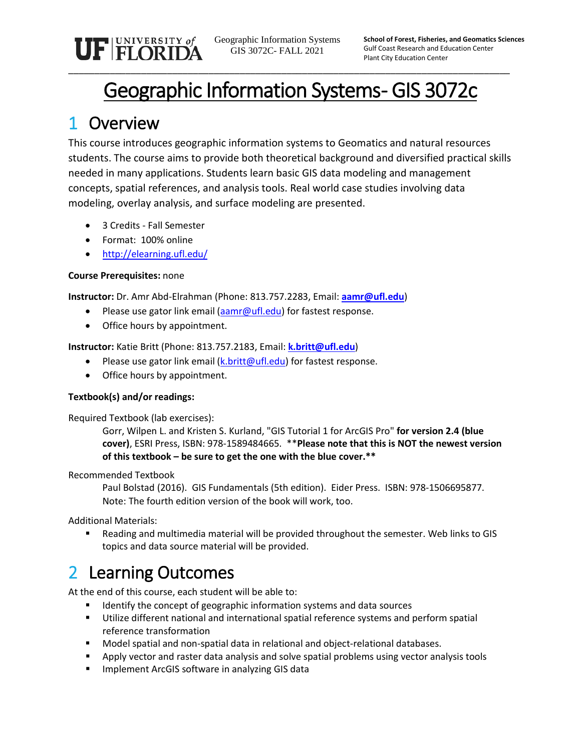UF FLORIDA

Geographic Information Systems GIS 3072C- FALL 2021

**School of Forest, Fisheries, and Geomatics Sciences** Gulf Coast Research and Education Center Plant City Education Center

# Geographic Information Systems- GIS 3072c

\_\_\_\_\_\_\_\_\_\_\_\_\_\_\_\_\_\_\_\_\_\_\_\_\_\_\_\_\_\_\_\_\_\_\_\_\_\_\_\_\_\_\_\_\_\_\_\_\_\_\_\_\_\_\_\_\_\_\_\_\_\_\_\_\_\_\_\_\_\_\_\_\_\_\_\_\_\_\_\_\_\_\_\_\_

## 1 Overview

This course introduces geographic information systems to Geomatics and natural resources students. The course aims to provide both theoretical background and diversified practical skills needed in many applications. Students learn basic GIS data modeling and management concepts, spatial references, and analysis tools. Real world case studies involving data modeling, overlay analysis, and surface modeling are presented.

- 3 Credits Fall Semester
- Format: 100% online
- <http://elearning.ufl.edu/>

### **Course Prerequisites:** none

**Instructor:** Dr. Amr Abd-Elrahman (Phone: 813.757.2283, Email: **[aamr@ufl.edu](file://IF-SRV-PCCGEO/GEOMATICS$/Courses/SUR3641%20Survey%20Computations/SUR_3641_Fall2009/aamr@ufl.edu)**)

- Please use gator link email [\(aamr@ufl.edu\)](mailto:aamr@ufl.edu) for fastest response.
- Office hours by appointment.

**Instructor:** Katie Britt (Phone: 813.757.2183, Email: **[k.britt@ufl.edu](file://IF-SRV-PCCGEO/GEOMATICS$/Courses/SUR3641%20Survey%20Computations/SUR_3641_Fall2009/aamr@ufl.edu)**)

- Please use gator link email [\(k.britt@ufl.edu\)](mailto:aamr@ufl.edu) for fastest response.
- Office hours by appointment.

### **Textbook(s) and/or readings:**

Required Textbook (lab exercises):

Gorr, Wilpen L. and Kristen S. Kurland, "GIS Tutorial 1 for ArcGIS Pro" **for version 2.4 (blue cover)**, ESRI Press, ISBN: 978-1589484665. \*\***Please note that this is NOT the newest version of this textbook – be sure to get the one with the blue cover.\*\***

Recommended Textbook

Paul Bolstad (2016). GIS Fundamentals (5th edition). Eider Press. ISBN: 978-1506695877. Note: The fourth edition version of the book will work, too.

Additional Materials:

 Reading and multimedia material will be provided throughout the semester. Web links to GIS topics and data source material will be provided.

# 2 Learning Outcomes

At the end of this course, each student will be able to:

- Identify the concept of geographic information systems and data sources
- Utilize different national and international spatial reference systems and perform spatial reference transformation
- Model spatial and non-spatial data in relational and object-relational databases.
- **Apply vector and raster data analysis and solve spatial problems using vector analysis tools**
- **Implement ArcGIS software in analyzing GIS data**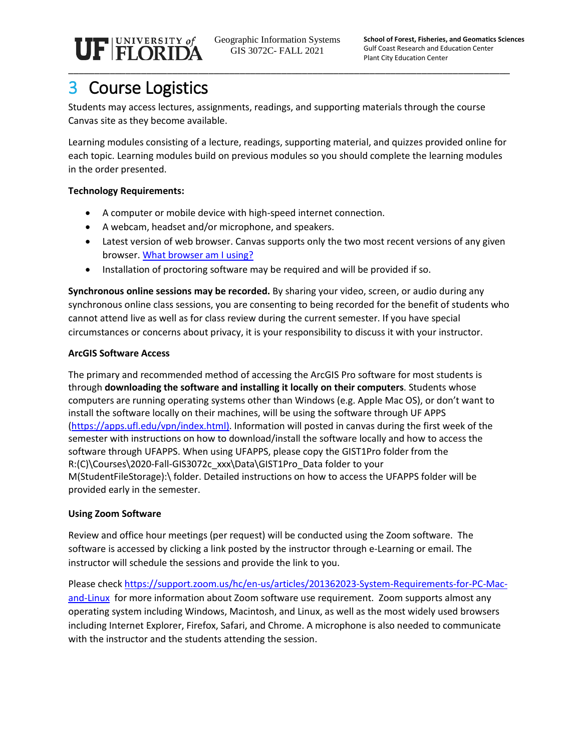UF FLORIDA \_\_\_\_\_\_\_\_\_\_\_\_\_\_\_\_\_\_\_\_\_\_\_\_\_\_\_\_\_\_\_\_\_\_\_\_\_\_\_\_\_\_\_\_\_\_\_\_\_\_\_\_\_\_\_\_\_\_\_\_\_\_\_\_\_\_\_\_\_\_\_\_\_\_\_\_\_\_\_\_\_\_\_\_\_

Geographic Information Systems GIS 3072C- FALL 2021

# 3 Course Logistics

Students may access lectures, assignments, readings, and supporting materials through the course Canvas site as they become available.

Learning modules consisting of a lecture, readings, supporting material, and quizzes provided online for each topic. Learning modules build on previous modules so you should complete the learning modules in the order presented.

### **Technology Requirements:**

- A computer or mobile device with high-speed internet connection.
- A webcam, headset and/or microphone, and speakers.
- Latest version of web browser. Canvas supports only the two most recent versions of any given browser. [What browser am I using?](http://whatbrowser.org/)
- Installation of proctoring software may be required and will be provided if so.

**Synchronous online sessions may be recorded.** By sharing your video, screen, or audio during any synchronous online class sessions, you are consenting to being recorded for the benefit of students who cannot attend live as well as for class review during the current semester. If you have special circumstances or concerns about privacy, it is your responsibility to discuss it with your instructor.

### **ArcGIS Software Access**

The primary and recommended method of accessing the ArcGIS Pro software for most students is through **downloading the software and installing it locally on their computers**. Students whose computers are running operating systems other than Windows (e.g. Apple Mac OS), or don't want to install the software locally on their machines, will be using the software through UF APPS [\(https://apps.ufl.edu/vpn/index.html\)](https://apps.ufl.edu/vpn/index.html). Information will posted in canvas during the first week of the semester with instructions on how to download/install the software locally and how to access the software through UFAPPS. When using UFAPPS, please copy the GIST1Pro folder from the R:(C)\Courses\2020-Fall-GIS3072c\_xxx\Data\GIST1Pro\_Data folder to your M(StudentFileStorage):\ folder. Detailed instructions on how to access the UFAPPS folder will be provided early in the semester.

### **Using Zoom Software**

Review and office hour meetings (per request) will be conducted using the Zoom software. The software is accessed by clicking a link posted by the instructor through e-Learning or email. The instructor will schedule the sessions and provide the link to you.

Please check [https://support.zoom.us/hc/en-us/articles/201362023-System-Requirements-for-PC-Mac](https://support.zoom.us/hc/en-us/articles/201362023-System-Requirements-for-PC-Mac-and-Linux)[and-Linux](https://support.zoom.us/hc/en-us/articles/201362023-System-Requirements-for-PC-Mac-and-Linux) for more information about Zoom software use requirement. Zoom supports almost any operating system including Windows, Macintosh, and Linux, as well as the most widely used browsers including Internet Explorer, Firefox, Safari, and Chrome. A microphone is also needed to communicate with the instructor and the students attending the session.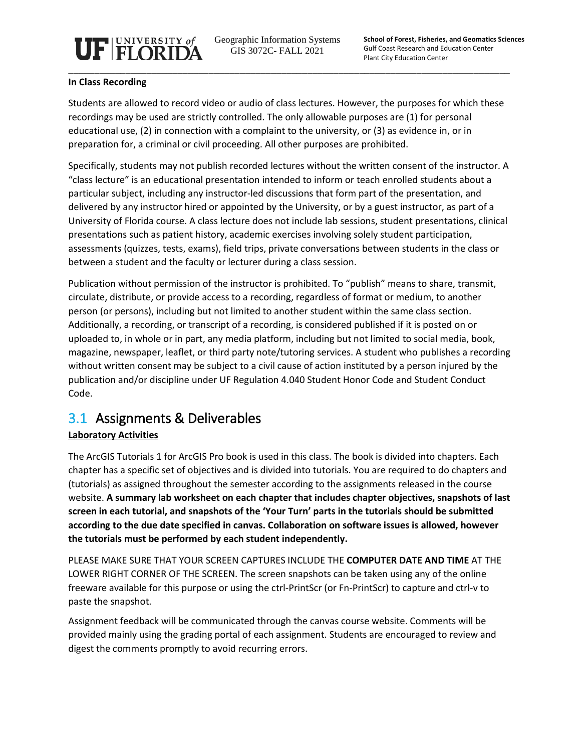

Geographic Information Systems GIS 3072C- FALL 2021

**School of Forest, Fisheries, and Geomatics Sciences** Gulf Coast Research and Education Center Plant City Education Center

#### **In Class Recording**

Students are allowed to record video or audio of class lectures. However, the purposes for which these recordings may be used are strictly controlled. The only allowable purposes are (1) for personal educational use, (2) in connection with a complaint to the university, or (3) as evidence in, or in preparation for, a criminal or civil proceeding. All other purposes are prohibited.

Specifically, students may not publish recorded lectures without the written consent of the instructor. A "class lecture" is an educational presentation intended to inform or teach enrolled students about a particular subject, including any instructor-led discussions that form part of the presentation, and delivered by any instructor hired or appointed by the University, or by a guest instructor, as part of a University of Florida course. A class lecture does not include lab sessions, student presentations, clinical presentations such as patient history, academic exercises involving solely student participation, assessments (quizzes, tests, exams), field trips, private conversations between students in the class or between a student and the faculty or lecturer during a class session.

Publication without permission of the instructor is prohibited. To "publish" means to share, transmit, circulate, distribute, or provide access to a recording, regardless of format or medium, to another person (or persons), including but not limited to another student within the same class section. Additionally, a recording, or transcript of a recording, is considered published if it is posted on or uploaded to, in whole or in part, any media platform, including but not limited to social media, book, magazine, newspaper, leaflet, or third party note/tutoring services. A student who publishes a recording without written consent may be subject to a civil cause of action instituted by a person injured by the publication and/or discipline under UF Regulation 4.040 Student Honor Code and Student Conduct Code.

### 3.1 Assignments & Deliverables

### **Laboratory Activities**

The ArcGIS Tutorials 1 for ArcGIS Pro book is used in this class. The book is divided into chapters. Each chapter has a specific set of objectives and is divided into tutorials. You are required to do chapters and (tutorials) as assigned throughout the semester according to the assignments released in the course website. **A summary lab worksheet on each chapter that includes chapter objectives, snapshots of last screen in each tutorial, and snapshots of the 'Your Turn' parts in the tutorials should be submitted according to the due date specified in canvas. Collaboration on software issues is allowed, however the tutorials must be performed by each student independently.** 

PLEASE MAKE SURE THAT YOUR SCREEN CAPTURES INCLUDE THE **COMPUTER DATE AND TIME** AT THE LOWER RIGHT CORNER OF THE SCREEN. The screen snapshots can be taken using any of the online freeware available for this purpose or using the ctrl-PrintScr (or Fn-PrintScr) to capture and ctrl-v to paste the snapshot.

Assignment feedback will be communicated through the canvas course website. Comments will be provided mainly using the grading portal of each assignment. Students are encouraged to review and digest the comments promptly to avoid recurring errors.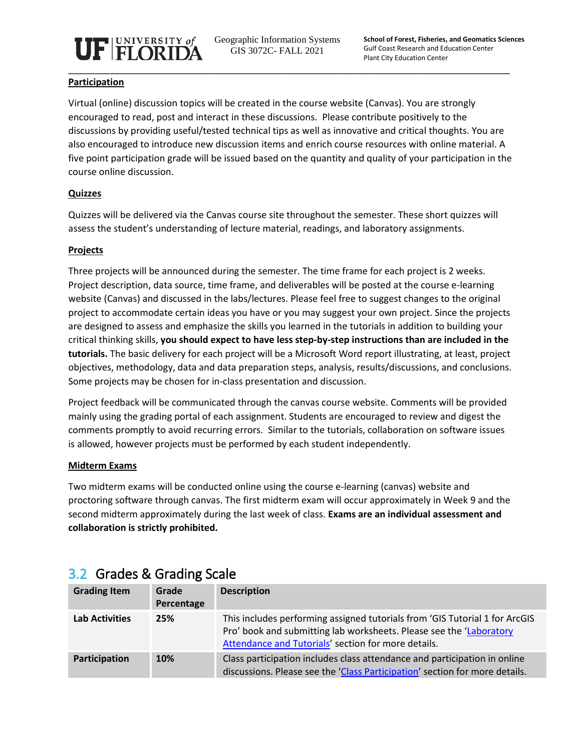

Geographic Information Systems GIS 3072C- FALL 2021

#### **Participation**

Virtual (online) discussion topics will be created in the course website (Canvas). You are strongly encouraged to read, post and interact in these discussions. Please contribute positively to the discussions by providing useful/tested technical tips as well as innovative and critical thoughts. You are also encouraged to introduce new discussion items and enrich course resources with online material. A five point participation grade will be issued based on the quantity and quality of your participation in the course online discussion.

### **Quizzes**

Quizzes will be delivered via the Canvas course site throughout the semester. These short quizzes will assess the student's understanding of lecture material, readings, and laboratory assignments.

### **Projects**

Three projects will be announced during the semester. The time frame for each project is 2 weeks. Project description, data source, time frame, and deliverables will be posted at the course e-learning website (Canvas) and discussed in the labs/lectures. Please feel free to suggest changes to the original project to accommodate certain ideas you have or you may suggest your own project. Since the projects are designed to assess and emphasize the skills you learned in the tutorials in addition to building your critical thinking skills, **you should expect to have less step-by-step instructions than are included in the tutorials.** The basic delivery for each project will be a Microsoft Word report illustrating, at least, project objectives, methodology, data and data preparation steps, analysis, results/discussions, and conclusions. Some projects may be chosen for in-class presentation and discussion.

Project feedback will be communicated through the canvas course website. Comments will be provided mainly using the grading portal of each assignment. Students are encouraged to review and digest the comments promptly to avoid recurring errors. Similar to the tutorials, collaboration on software issues is allowed, however projects must be performed by each student independently.

### **Midterm Exams**

Two midterm exams will be conducted online using the course e-learning (canvas) website and proctoring software through canvas. The first midterm exam will occur approximately in Week 9 and the second midterm approximately during the last week of class. **Exams are an individual assessment and collaboration is strictly prohibited.**

| <b>Grading Item</b>   | Grade<br>Percentage | <b>Description</b>                                                                                                                                                                                        |
|-----------------------|---------------------|-----------------------------------------------------------------------------------------------------------------------------------------------------------------------------------------------------------|
| <b>Lab Activities</b> | 25%                 | This includes performing assigned tutorials from 'GIS Tutorial 1 for ArcGIS<br>Pro' book and submitting lab worksheets. Please see the 'Laboratory<br>Attendance and Tutorials' section for more details. |
| Participation         | 10%                 | Class participation includes class attendance and participation in online<br>discussions. Please see the 'Class Participation' section for more details.                                                  |

### 3.2 Grades & Grading Scale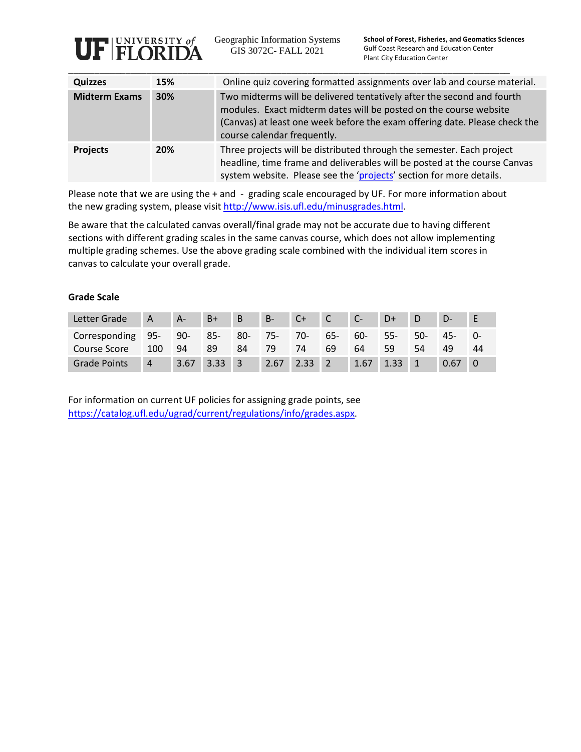

Geographic Information Systems GIS 3072C- FALL 2021

**School of Forest, Fisheries, and Geomatics Sciences** Gulf Coast Research and Education Center Plant City Education Center

| <b>Quizzes</b>       | 15% | Online quiz covering formatted assignments over lab and course material.                                                                                                                                                                                 |
|----------------------|-----|----------------------------------------------------------------------------------------------------------------------------------------------------------------------------------------------------------------------------------------------------------|
| <b>Midterm Exams</b> | 30% | Two midterms will be delivered tentatively after the second and fourth<br>modules. Exact midterm dates will be posted on the course website<br>(Canvas) at least one week before the exam offering date. Please check the<br>course calendar frequently. |
| <b>Projects</b>      | 20% | Three projects will be distributed through the semester. Each project<br>headline, time frame and deliverables will be posted at the course Canvas<br>system website. Please see the 'projects' section for more details.                                |

Please note that we are using the + and - grading scale encouraged by UF. For more information about the new grading system, please visi[t http://www.isis.ufl.edu/minusgrades.html.](http://www.isis.ufl.edu/minusgrades.html)

Be aware that the calculated canvas overall/final grade may not be accurate due to having different sections with different grading scales in the same canvas course, which does not allow implementing multiple grading schemes. Use the above grading scale combined with the individual item scores in canvas to calculate your overall grade.

#### **Grade Scale**

| Letter Grade        | A   | $A-$ | $B+$           | $\overline{B}$ | $B-$   | $C+$           | $\sim$ C $\sim$ |        | D+             |     |        |    |
|---------------------|-----|------|----------------|----------------|--------|----------------|-----------------|--------|----------------|-----|--------|----|
| Corresponding 95-   |     | 90-  | 85-            | $80-$          | $75 -$ | $70-7$         | $65 -$          | $60 -$ | $55-$          | 50- | $45 -$ |    |
| Course Score        | 100 | 94   | 89             | 84             | 79     | 74             | 69              | 64     | 59             | 54  | 49     | 44 |
| <b>Grade Points</b> | 4   | 3.67 | $3.33 \quad 3$ |                | 2.67   | $2.33 \quad 2$ |                 | 1.67   | $1.33 \quad 1$ |     | 0.67   |    |

For information on current UF policies for assigning grade points, see [https://catalog.ufl.edu/ugrad/current/regulations/info/grades.aspx.](https://catalog.ufl.edu/ugrad/current/regulations/info/grades.aspx)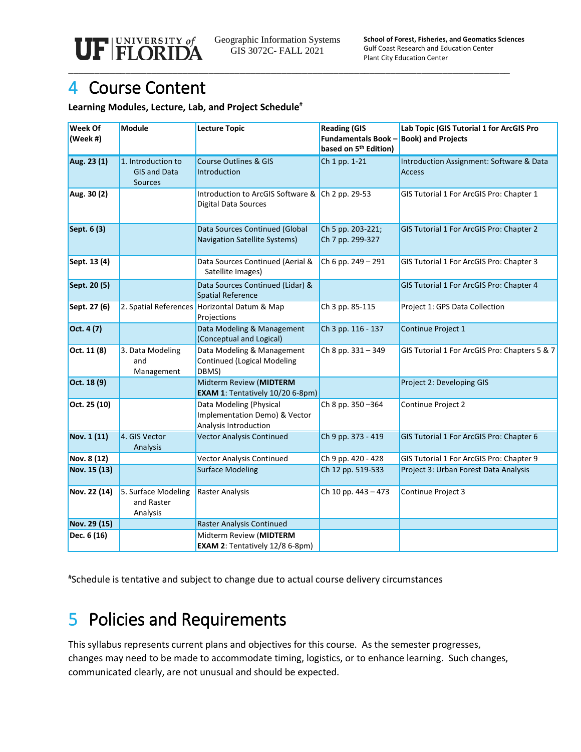\_\_\_\_\_\_\_\_\_\_\_\_\_\_\_\_\_\_\_\_\_\_\_\_\_\_\_\_\_\_\_\_\_\_\_\_\_\_\_\_\_\_\_\_\_\_\_\_\_\_\_\_\_\_\_\_\_\_\_\_\_\_\_\_\_\_\_\_\_\_\_\_\_\_\_\_\_\_\_\_\_\_\_\_\_

## 4 Course Content

#### **Learning Modules, Lecture, Lab, and Project Schedule**#

| Week Of<br>(Week #) | <b>Module</b>                                               | <b>Lecture Topic</b>                                                              | <b>Reading (GIS</b><br><b>Fundamentals Book -</b><br>based on 5 <sup>th</sup> Edition) | Lab Topic (GIS Tutorial 1 for ArcGIS Pro<br><b>Book) and Projects</b> |  |  |
|---------------------|-------------------------------------------------------------|-----------------------------------------------------------------------------------|----------------------------------------------------------------------------------------|-----------------------------------------------------------------------|--|--|
| Aug. 23 (1)         | 1. Introduction to<br><b>GIS and Data</b><br><b>Sources</b> | <b>Course Outlines &amp; GIS</b><br>Introduction                                  | Ch 1 pp. 1-21                                                                          | Introduction Assignment: Software & Data<br><b>Access</b>             |  |  |
| Aug. 30 (2)         |                                                             | Introduction to ArcGIS Software & Ch 2 pp. 29-53<br><b>Digital Data Sources</b>   |                                                                                        | GIS Tutorial 1 For ArcGIS Pro: Chapter 1                              |  |  |
| Sept. 6 (3)         |                                                             | Data Sources Continued (Global<br>Navigation Satellite Systems)                   | Ch 5 pp. 203-221;<br>Ch 7 pp. 299-327                                                  | GIS Tutorial 1 For ArcGIS Pro: Chapter 2                              |  |  |
| Sept. 13 (4)        |                                                             | Data Sources Continued (Aerial &<br>Satellite Images)                             | Ch 6 pp. 249 - 291                                                                     | GIS Tutorial 1 For ArcGIS Pro: Chapter 3                              |  |  |
| Sept. 20 (5)        |                                                             | Data Sources Continued (Lidar) &<br><b>Spatial Reference</b>                      |                                                                                        | GIS Tutorial 1 For ArcGIS Pro: Chapter 4                              |  |  |
| Sept. 27 (6)        |                                                             | 2. Spatial References Horizontal Datum & Map<br>Projections                       | Ch 3 pp. 85-115                                                                        | Project 1: GPS Data Collection                                        |  |  |
| Oct. 4 (7)          |                                                             | Data Modeling & Management<br>(Conceptual and Logical)                            | Ch 3 pp. 116 - 137                                                                     | Continue Project 1                                                    |  |  |
| Oct. 11 (8)         | 3. Data Modeling<br>and<br>Management                       | Data Modeling & Management<br><b>Continued (Logical Modeling</b><br>DBMS)         | Ch 8 pp. 331 - 349                                                                     | GIS Tutorial 1 For ArcGIS Pro: Chapters 5 & 7                         |  |  |
| Oct. 18 (9)         |                                                             | Midterm Review (MIDTERM<br>EXAM 1: Tentatively 10/20 6-8pm)                       |                                                                                        | Project 2: Developing GIS                                             |  |  |
| Oct. 25 (10)        |                                                             | Data Modeling (Physical<br>Implementation Demo) & Vector<br>Analysis Introduction | Ch 8 pp. 350-364                                                                       | Continue Project 2                                                    |  |  |
| Nov. 1 (11)         | 4. GIS Vector<br>Analysis                                   | <b>Vector Analysis Continued</b>                                                  | Ch 9 pp. 373 - 419                                                                     | GIS Tutorial 1 For ArcGIS Pro: Chapter 6                              |  |  |
| Nov. 8 (12)         |                                                             | <b>Vector Analysis Continued</b>                                                  | Ch 9 pp. 420 - 428                                                                     | GIS Tutorial 1 For ArcGIS Pro: Chapter 9                              |  |  |
| Nov. 15 (13)        |                                                             | <b>Surface Modeling</b>                                                           | Ch 12 pp. 519-533                                                                      | Project 3: Urban Forest Data Analysis                                 |  |  |
| Nov. 22 (14)        | 5. Surface Modeling<br>and Raster<br>Analysis               | <b>Raster Analysis</b>                                                            | Ch 10 pp. 443 - 473                                                                    | Continue Project 3                                                    |  |  |
| Nov. 29 (15)        |                                                             | Raster Analysis Continued                                                         |                                                                                        |                                                                       |  |  |
| Dec. 6 (16)         |                                                             | Midterm Review (MIDTERM<br><b>EXAM 2: Tentatively 12/8 6-8pm)</b>                 |                                                                                        |                                                                       |  |  |

# Schedule is tentative and subject to change due to actual course delivery circumstances

# 5 Policies and Requirements

This syllabus represents current plans and objectives for this course. As the semester progresses, changes may need to be made to accommodate timing, logistics, or to enhance learning. Such changes, communicated clearly, are not unusual and should be expected.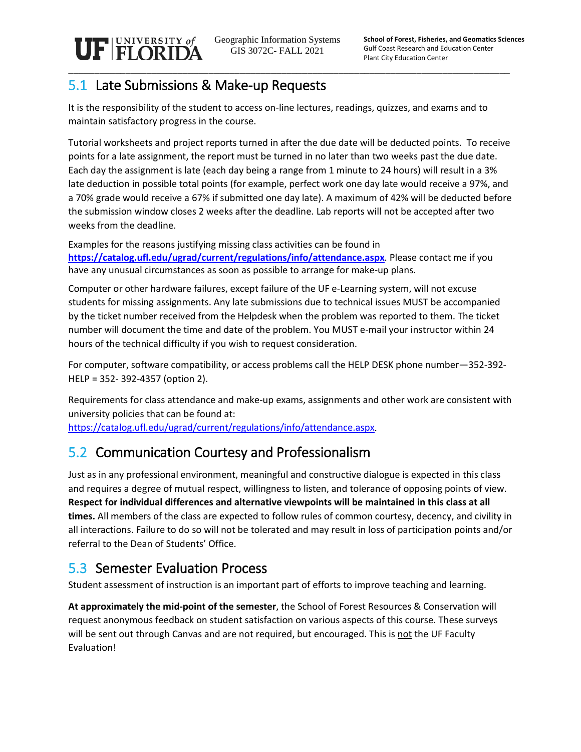\_\_\_\_\_\_\_\_\_\_\_\_\_\_\_\_\_\_\_\_\_\_\_\_\_\_\_\_\_\_\_\_\_\_\_\_\_\_\_\_\_\_\_\_\_\_\_\_\_\_\_\_\_\_\_\_\_\_\_\_\_\_\_\_\_\_\_\_\_\_\_\_\_\_\_\_\_\_\_\_\_\_\_\_\_

### 5.1 Late Submissions & Make-up Requests

UF FLORIDA

It is the responsibility of the student to access on-line lectures, readings, quizzes, and exams and to maintain satisfactory progress in the course.

Tutorial worksheets and project reports turned in after the due date will be deducted points. To receive points for a late assignment, the report must be turned in no later than two weeks past the due date. Each day the assignment is late (each day being a range from 1 minute to 24 hours) will result in a 3% late deduction in possible total points (for example, perfect work one day late would receive a 97%, and a 70% grade would receive a 67% if submitted one day late). A maximum of 42% will be deducted before the submission window closes 2 weeks after the deadline. Lab reports will not be accepted after two weeks from the deadline.

Examples for the reasons justifying missing class activities can be found in **<https://catalog.ufl.edu/ugrad/current/regulations/info/attendance.aspx>**. Please contact me if you have any unusual circumstances as soon as possible to arrange for make-up plans.

Computer or other hardware failures, except failure of the UF e-Learning system, will not excuse students for missing assignments. Any late submissions due to technical issues MUST be accompanied by the ticket number received from the Helpdesk when the problem was reported to them. The ticket number will document the time and date of the problem. You MUST e-mail your instructor within 24 hours of the technical difficulty if you wish to request consideration.

For computer, software compatibility, or access problems call the HELP DESK phone number—352-392- HELP = 352- 392-4357 (option 2).

Requirements for class attendance and make-up exams, assignments and other work are consistent with university policies that can be found at:

[https://catalog.ufl.edu/ugrad/current/regulations/info/attendance.aspx.](https://catalog.ufl.edu/ugrad/current/regulations/info/attendance.aspx)

### 5.2 Communication Courtesy and Professionalism

Just as in any professional environment, meaningful and constructive dialogue is expected in this class and requires a degree of mutual respect, willingness to listen, and tolerance of opposing points of view. **Respect for individual differences and alternative viewpoints will be maintained in this class at all times.** All members of the class are expected to follow rules of common courtesy, decency, and civility in all interactions. Failure to do so will not be tolerated and may result in loss of participation points and/or referral to the Dean of Students' Office.

## 5.3 Semester Evaluation Process

Student assessment of instruction is an important part of efforts to improve teaching and learning.

**At approximately the mid-point of the semester**, the School of Forest Resources & Conservation will request anonymous feedback on student satisfaction on various aspects of this course. These surveys will be sent out through Canvas and are not required, but encouraged. This is not the UF Faculty Evaluation!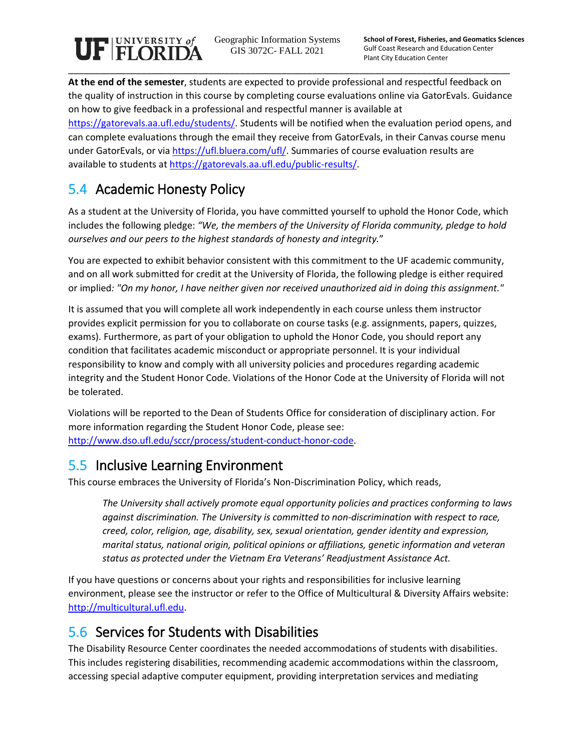# $\mathbf{U}\mathbf{F}$  **FLORIDA** \_\_\_\_\_\_\_\_\_\_\_\_\_\_\_\_\_\_\_\_\_\_\_\_\_\_\_\_\_\_\_\_\_\_\_\_\_\_\_\_\_\_\_\_\_\_\_\_\_\_\_\_\_\_\_\_\_\_\_\_\_\_\_\_\_\_\_\_\_\_\_\_\_\_\_\_\_\_\_\_\_\_\_\_\_

Geographic Information Systems GIS 3072C- FALL 2021

**At the end of the semester**, students are expected to provide professional and respectful feedback on the quality of instruction in this course by completing course evaluations online via GatorEvals. Guidance on how to give feedback in a professional and respectful manner is available at [https://gatorevals.aa.ufl.edu/students/.](https://gatorevals.aa.ufl.edu/students/) Students will be notified when the evaluation period opens, and can complete evaluations through the email they receive from GatorEvals, in their Canvas course menu under GatorEvals, or vi[a https://ufl.bluera.com/ufl/.](https://ufl.bluera.com/ufl/) Summaries of course evaluation results are available to students at [https://gatorevals.aa.ufl.edu/public-results/.](https://gatorevals.aa.ufl.edu/public-results/)

## 5.4 Academic Honesty Policy

As a student at the University of Florida, you have committed yourself to uphold the Honor Code, which includes the following pledge: *"We, the members of the University of Florida community, pledge to hold ourselves and our peers to the highest standards of honesty and integrity.*"

You are expected to exhibit behavior consistent with this commitment to the UF academic community, and on all work submitted for credit at the University of Florida, the following pledge is either required or implied*: "On my honor, I have neither given nor received unauthorized aid in doing this assignment."*

It is assumed that you will complete all work independently in each course unless them instructor provides explicit permission for you to collaborate on course tasks (e.g. assignments, papers, quizzes, exams). Furthermore, as part of your obligation to uphold the Honor Code, you should report any condition that facilitates academic misconduct or appropriate personnel. It is your individual responsibility to know and comply with all university policies and procedures regarding academic integrity and the Student Honor Code. Violations of the Honor Code at the University of Florida will not be tolerated.

Violations will be reported to the Dean of Students Office for consideration of disciplinary action. For more information regarding the Student Honor Code, please see: [http://www.dso.ufl.edu/sccr/process/student-conduct-honor-code.](http://www.dso.ufl.edu/sccr/process/student-conduct-honor-code)

### 5.5 Inclusive Learning Environment

This course embraces the University of Florida's Non-Discrimination Policy, which reads,

*The University shall actively promote equal opportunity policies and practices conforming to laws against discrimination. The University is committed to non-discrimination with respect to race, creed, color, religion, age, disability, sex, sexual orientation, gender identity and expression, marital status, national origin, political opinions or affiliations, genetic information and veteran status as protected under the Vietnam Era Veterans' Readjustment Assistance Act.*

If you have questions or concerns about your rights and responsibilities for inclusive learning environment, please see the instructor or refer to the Office of Multicultural & Diversity Affairs website: [http://multicultural.ufl.edu.](http://multicultural.ufl.edu/)

## 5.6 Services for Students with Disabilities

The Disability Resource Center coordinates the needed accommodations of students with disabilities. This includes registering disabilities, recommending academic accommodations within the classroom, accessing special adaptive computer equipment, providing interpretation services and mediating